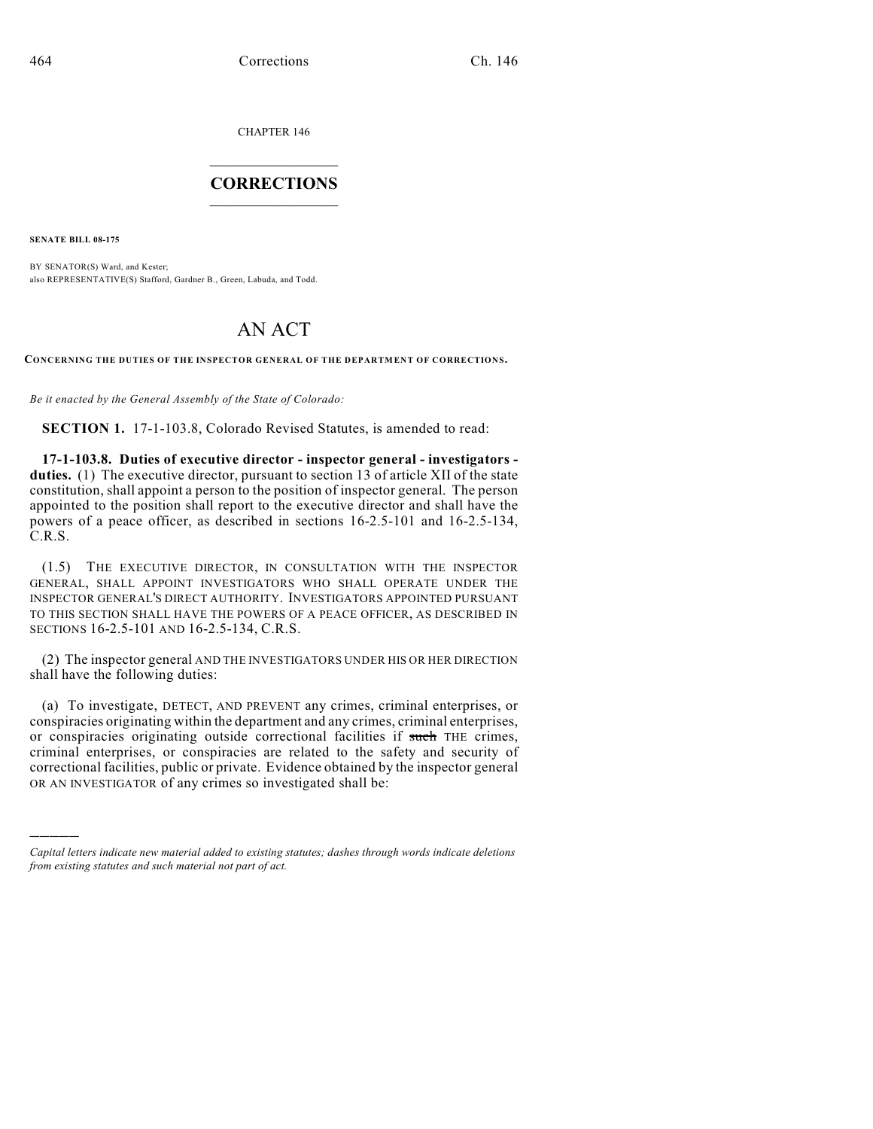CHAPTER 146  $\overline{\phantom{a}}$  . The set of the set of the set of the set of the set of the set of the set of the set of the set of the set of the set of the set of the set of the set of the set of the set of the set of the set of the set o

## **CORRECTIONS**  $\frac{1}{2}$  ,  $\frac{1}{2}$  ,  $\frac{1}{2}$  ,  $\frac{1}{2}$  ,  $\frac{1}{2}$  ,  $\frac{1}{2}$

**SENATE BILL 08-175**

)))))

BY SENATOR(S) Ward, and Kester; also REPRESENTATIVE(S) Stafford, Gardner B., Green, Labuda, and Todd.

## AN ACT

**CONCERNING THE DUTIES OF THE INSPECTOR GENERAL OF THE DEPARTMENT OF CORRECTIONS.**

*Be it enacted by the General Assembly of the State of Colorado:*

**SECTION 1.** 17-1-103.8, Colorado Revised Statutes, is amended to read:

**17-1-103.8. Duties of executive director - inspector general - investigators duties.** (1) The executive director, pursuant to section 13 of article XII of the state constitution, shall appoint a person to the position of inspector general. The person appointed to the position shall report to the executive director and shall have the powers of a peace officer, as described in sections 16-2.5-101 and 16-2.5-134, C.R.S.

(1.5) THE EXECUTIVE DIRECTOR, IN CONSULTATION WITH THE INSPECTOR GENERAL, SHALL APPOINT INVESTIGATORS WHO SHALL OPERATE UNDER THE INSPECTOR GENERAL'S DIRECT AUTHORITY. INVESTIGATORS APPOINTED PURSUANT TO THIS SECTION SHALL HAVE THE POWERS OF A PEACE OFFICER, AS DESCRIBED IN SECTIONS 16-2.5-101 AND 16-2.5-134, C.R.S.

(2) The inspector general AND THE INVESTIGATORS UNDER HIS OR HER DIRECTION shall have the following duties:

(a) To investigate, DETECT, AND PREVENT any crimes, criminal enterprises, or conspiracies originating within the department and any crimes, criminal enterprises, or conspiracies originating outside correctional facilities if such THE crimes, criminal enterprises, or conspiracies are related to the safety and security of correctional facilities, public or private. Evidence obtained by the inspector general OR AN INVESTIGATOR of any crimes so investigated shall be:

*Capital letters indicate new material added to existing statutes; dashes through words indicate deletions from existing statutes and such material not part of act.*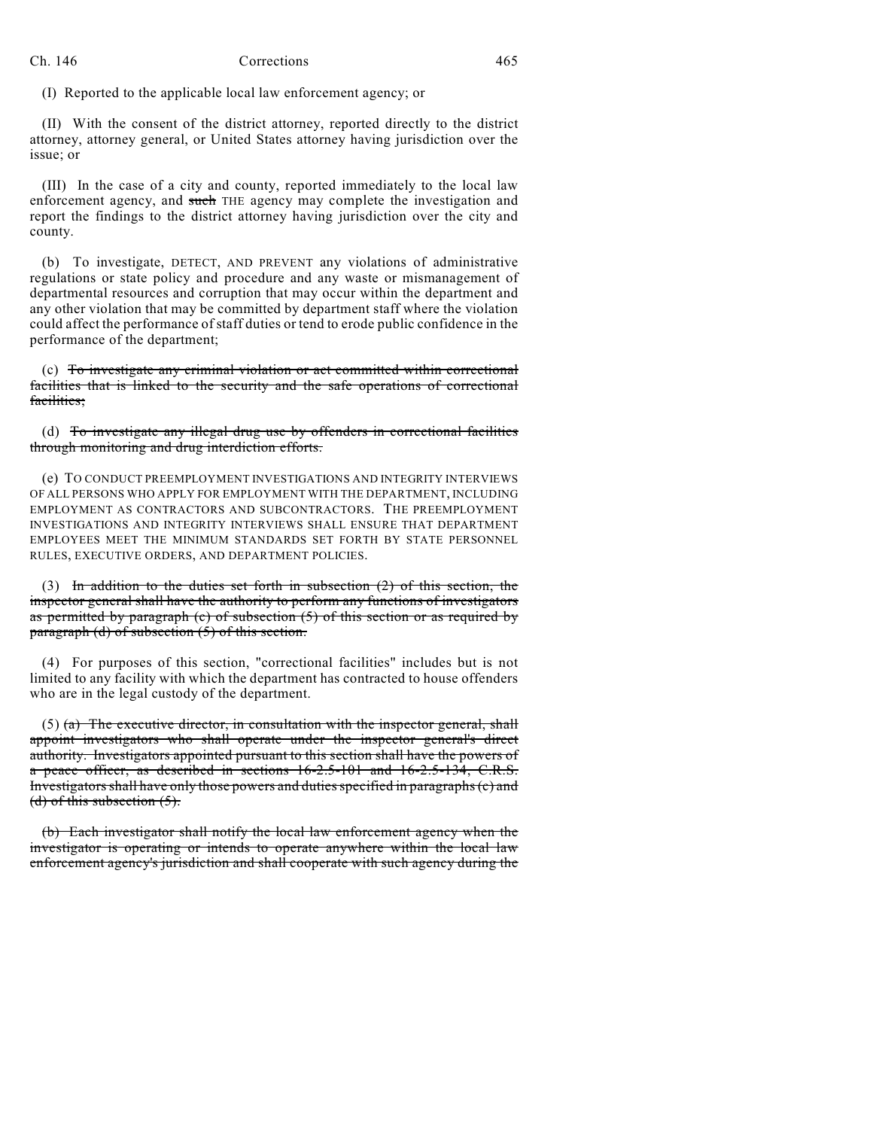## Ch. 146 Corrections 465

(I) Reported to the applicable local law enforcement agency; or

(II) With the consent of the district attorney, reported directly to the district attorney, attorney general, or United States attorney having jurisdiction over the issue; or

(III) In the case of a city and county, reported immediately to the local law enforcement agency, and such THE agency may complete the investigation and report the findings to the district attorney having jurisdiction over the city and county.

(b) To investigate, DETECT, AND PREVENT any violations of administrative regulations or state policy and procedure and any waste or mismanagement of departmental resources and corruption that may occur within the department and any other violation that may be committed by department staff where the violation could affect the performance of staff duties or tend to erode public confidence in the performance of the department;

(c) To investigate any criminal violation or act committed within correctional facilities that is linked to the security and the safe operations of correctional facilities;

(d) To investigate any illegal drug use by offenders in correctional facilities through monitoring and drug interdiction efforts.

(e) TO CONDUCT PREEMPLOYMENT INVESTIGATIONS AND INTEGRITY INTERVIEWS OF ALL PERSONS WHO APPLY FOR EMPLOYMENT WITH THE DEPARTMENT, INCLUDING EMPLOYMENT AS CONTRACTORS AND SUBCONTRACTORS. THE PREEMPLOYMENT INVESTIGATIONS AND INTEGRITY INTERVIEWS SHALL ENSURE THAT DEPARTMENT EMPLOYEES MEET THE MINIMUM STANDARDS SET FORTH BY STATE PERSONNEL RULES, EXECUTIVE ORDERS, AND DEPARTMENT POLICIES.

(3) In addition to the duties set forth in subsection (2) of this section, the inspector general shall have the authority to perform any functions of investigators as permitted by paragraph (c) of subsection  $(5)$  of this section or as required by paragraph (d) of subsection (5) of this section.

(4) For purposes of this section, "correctional facilities" includes but is not limited to any facility with which the department has contracted to house offenders who are in the legal custody of the department.

(5)  $(a)$  The executive director, in consultation with the inspector general, shall appoint investigators who shall operate under the inspector general's direct authority. Investigators appointed pursuant to this section shall have the powers of a peace officer, as described in sections 16-2.5-101 and 16-2.5-134, C.R.S. Investigators shall have only those powers and duties specified in paragraphs (c) and (d) of this subsection  $(5)$ .

(b) Each investigator shall notify the local law enforcement agency when the investigator is operating or intends to operate anywhere within the local law enforcement agency's jurisdiction and shall cooperate with such agency during the